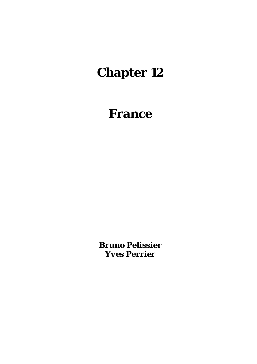# **Chapter 12**

# **France**

*Bruno Pelissier Yves Perrier*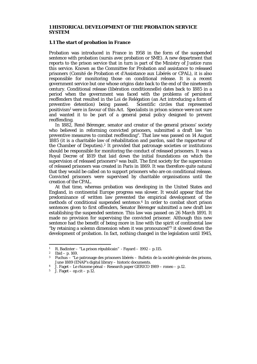#### **1 HISTORICAL DEVELOPMENT OF THE PROBATION SERVICE SYSTEM**

#### **1.1 The start of probation in France**

Probation was introduced in France in 1958 in the form of the suspended sentence with probation (sursis avec probation or SME). A new department that reports to the prison service that in turn is part of the Ministry of Justice runs this service. Known as the Committee for Probation and assistance to released prisoners (Comité de Probation et d'Assistance aux Libérés or CPAL), it is also responsible for monitoring those on conditional release. It is a recent government service but one whose origins date back to the end of the nineteenth century. Conditional release (libération conditionnelle) dates back to 1885 in a period when the government was faced with the problems of persistent reoffenders that resulted in the Loi de Relégation (an Act introducing a form of preventive detention) being passed. Scientific circles that represented positivism<sup>1</sup> were in favour of this Act. Specialists in prison science were not sure and wanted it to be part of a general penal policy designed to prevent reoffending.

 In 1882, René Bérenger, senator and creator of the general prisons' society who believed in reforming convicted prisoners, submitted a draft law "on preventive measures to combat reoffending". That law was passed on 14 August 1885 (it is a charitable law of rehabilitation and pardon, said the rapporteur of the Chamber of Deputies).2 It provided that patronage societies or institutions should be responsible for monitoring the conduct of released prisoners. It was a Royal Decree of 1819 that laid down the initial foundations on which the supervision of released prisoners<sup>3</sup> was built. The first society for the supervision of released prisoners was created in Paris in 1869. It was therefore quite natural that they would be called on to support prisoners who are on conditional release. Convicted prisoners were supervised by charitable organisations until the creation of the CPAL.

 At that time, whereas probation was developing in the United States and England, in continental Europe progress was slower. It would appear that the predominance of written law prevented the empirical development of the methods of conditional suspended sentence.4 In order to combat short prison sentences given to first offenders, Senator Bérenger submitted a new draft law establishing the suspended sentence. This law was passed on 26 March 1891. It made no provision for supervising the convicted prisoner. Although this new sentence had the benefit of being more in line with the spirit of continental law "by retaining a solemn dimension when it was pronounced"5 it slowed down the development of probation. In fact, nothing changed in the legislation until 1945,

1

<sup>1</sup> R. Badinter – "La prison républicain" - Fayard – 1992 – p.115.<br>
<sup>2</sup> Ibid – p. 169.<br>
<sup>3</sup> Euchus – "Le patronage des prisoners libérés – Bulletin de la

Fuchus – "Le patronage des prisoners libérés – Bulletin de la société générale des prisons,<br>June 1889 (ENAP's digital library – historic documents.

J. Faget – Le rhizome pénal – Research paper GERICO 1989 – roneo – p.12.

 $5$  J. Faget – op.cit – p.12.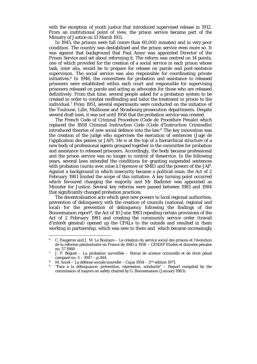with the exception of youth justice that introduced supervised release in 1912. From an institutional point of view, the prison service became part of the Ministry of Justice on 13 March 1911.

 In 1945, the prisons were full (more than 60,000 inmates) and in very poor condition. The country was destabilised and the prison service even more so. It was against that background that Paul Amor was appointed Director of the Prison Service and set about reforming it. The reform was centred on 14 points, one of which provided for the creation of a social service in each prison whose task, inter alia, would be to prepare for release on parole and post-sentence supervision. The social service was also responsible for coordinating private initiatives.6 In 1946, the committees for probation and assistance to released prisoners were established within each court and responsible for supervising prisoners released on parole and acting as advocates for those who are released definitively. From that time, several people asked for a probation system to be created in order to combat reoffending and tailor the treatment in prison to the individual.7 From 1951, several experiments were conducted on the initiative of the Toulouse, Lille, Mulhouse and Strasbourg prosecution departments. Despite several draft laws, it was not until 1958 that the probation service was created.

 The French Code of Criminal Procedure (Code de Procédure Penale) which replaced the 1808 Criminal Instruction Code (Code d'Instruction Criminelle) introduced theories of new social defence into the law.8 The key innovation was the creation of the judge who supervises the execution of sentences (Juge de l'application des peines or JAP). He is at the top of a hierarchical structure of a new body of professional agents grouped together in the committee for probation and assistance to released prisoners. Accordingly, the body became professional and the prison service was no longer in control of theservice. In the following years, several laws extended the conditions for granting suspended sentences with probation (sursis avec mise à l'épreuve or SME) and the powers of the JAP. Against a background in which insecurity became a political issue, the Act of 2 February 1981 limited the scope of this initiative. A key turning point occurred which favoured changing the majority and Mr Badinter was appointed as Minister for Justice. Several key reforms were passed between 1981 and 1984 that significantly changed probation practices.

 The decentralisation acts which gave new powers to local regional authorities, prevention of delinquency with the creation of councils (national, regional and local) for the prevention of delinquency following the findings of the Bonnemaison report9, the Act of 10 June 1983 repealing certain provisions of the Act of 2 February 1981 and creating the community service order (travail d'intérêt général) opened up the CPALs to the outside and resulted in them working in partnership, which was new to them and which became increasingly

1

 $6$  C. Faugeron and J. M. Le Boulaire – Le création du service social des prisons et l'évolution de la réforme pénitentiaire en France de 1945 à 1958 – CESDIP Etudes et données pénales no. 57 1988<br>7 J. P. Beguet – La probation surveillée – Revue de science criminelle et de droit pénal

comparé no. 3 – 1947 – p.384.<br>8 M. Ancel – La défense sociale nouvelle – Cujas 1954 – 2<sup>nd</sup> edition 1971.<br><sup>9</sup> "Face à la délinquance: prévention, répression, solidarité" – Report compiled by the

commission of mayors on safety chaired by G. Bonnemaison (January 1983).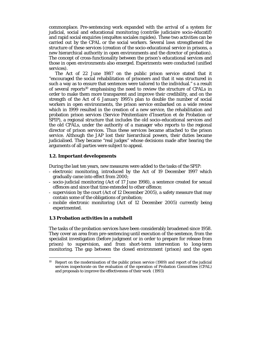commonplace. Pre-sentencing work expanded with the arrival of a system for judicial, social and educational monitoring (contrôle judiciaire socio-éducatif) and rapid social enquiries (enquêtes sociales rapides). These two activities can be carried out by the CPAL or the social workers. Several laws strengthened the structure of these services (creation of the socio-educational service in prisons, a new hierarchical authority in open environments and the director of probation). The concept of cross-functionality between the prison's educational services and those in open environments also emerged. Experiments were conducted (unified services).

 The Act of 22 June 1987 on the public prison service stated that it "encouraged the social rehabilitation of prisoners and that it was structured in such a way as to ensure that sentences were tailored to the individual." s a result of several reports<sup>10</sup> emphasising the need to review the structure of CPALs in order to make them more transparent and improve their credibility, and on the strength of the Act of 6 January 1995's plan to double the number of social workers in open environments, the prison service embarked on a wide review which in 1999 resulted in the creation of a new service, the rehabilitation and probation prison services (Service Pénitentiaire d'Insertion et de Probation or SPIP), a regional structure that includes the old socio-educational services and the old CPALs, under the authority of a manager who reports to the regional director of prison services. Thus these services became attached to the prison service. Although the JAP lost their hierarchical powers, their duties became judicialised. They became "real judges" whose decisions made after hearing the arguments of all parties were subject to appeal.

#### **1.2. Important developments**

During the last ten years, new measures were added to the tasks of the SPIP:

- electronic monitoring, introduced by the Act of 19 December 1997 which gradually came into effect from 2000;
- socio-judicial monitoring (Act of 17 June 1998), a sentence created for sexual offences and since that time extended to other offence;
- supervision by the court (Act of 12 December 2005), a safety measure that may contain some of the obligations of probation;
- mobile electronic monitoring (Act of 12 December 2005) currently being experimented.

#### **1.3 Probation activities in a nutshell**

1

The tasks of the probation services have been considerably broadened since 1958. They cover an area from pre-sentencing until execution of the sentence, from the specialist investigation (before judgment or in order to prepare for release from prison) to supervision, and from short-term intervention to long-term monitoring. The gap between the closed environment (prison) and the open

<sup>10</sup> Report on the modernisation of the public prison service (1989) and report of the judicial services inspectorate on the evaluation of the operation of Probation Committees (CPAL) and proposals to improve the effectiveness of their work (1993)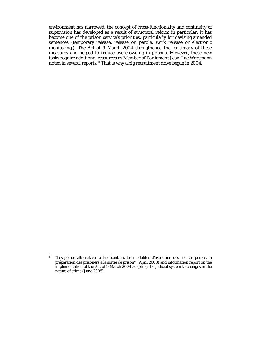environment has narrowed, the concept of cross-functionality and continuity of supervision has developed as a result of structural reform in particular. It has become one of the prison service's priorities, particularly for devising amended sentences (temporary release, release on parole, work release or electronic monitoring,). The Act of 9 March 2004 strengthened the legitimacy of these measures and helped to reduce overcrowding in prisons. However, these new tasks require additional resources as Member of Parliament Jean-Luc Warsmann noted in several reports.11 That is why a big recruitment drive began in 2004.

<u>.</u>

<sup>11 &</sup>quot;Les peines alternatives à la détention, les modalités d'exécution des courtes peines, la préparation des prisoners à la sortie de prison" (April 2003) and information report on the implementation of the Act of 9 March 2004 adapting the judicial system to changes in the nature of crime (June 2005)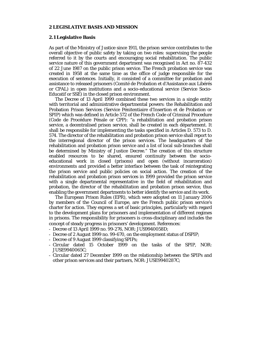#### **2 LEGISLATIVE BASIS AND MISSION**

#### **2.1 Legislative Basis**

As part of the Ministry of Justice since 1911, the prison service contributes to the overall objective of public safety by taking on two roles: supervising the people referred to it by the courts and encouraging social rehabilitation. The public service nature of this government department was recognised in Act no. 87-432 of 22 June 1987 on the public prison service. The French probation service was created in 1958 at the same time as the office of judge responsible for the execution of sentences. Initially, it consisted of a committee for probation and assistance to released prisoners (Comité de Probation et d'Assistance aux Libérés or CPAL) in open institutions and a socio-educational service (Service Socio-Educatif or SSE) in the closed prison environment.

 The Decree of 13 April 1999 combined these two services in a single entity with territorial and administrative departmental powers: the Rehabilitation and Probation Prison Services (Service Pénitentiaire d'Insertion et de Probation or SPIP) which was defined in Article 572 of the French Code of Criminal Procedure (Code de Procédure Pénale or CPP): "a rehabilitation and probation prison service, a decentralised prison service, shall be created in each département. It shall be responsible for implementing the tasks specified in Articles D. 573 to D. 574. The director of the rehabilitation and probation prison service shall report to the interregional director of the prison services. The headquarters of the rehabilitation and probation prison service and a list of local sub-branches shall be determined by Ministry of Justice Decree." The creation of this structure enabled resources to be shared, ensured continuity between the socioeducational work in closed (prisons) and open (without incarceration) environments and provided a better interface between the task of reintegrating the prison service and public policies on social action. The creation of the rehabilitation and probation prison services in 1999 provided the prison service with a single departmental representative in the field of rehabilitation and probation, the director of the rehabilitation and probation prison service, thus enabling the government departments to better identify the service and its work.

The European Prison Rules (EPR), which were adopted on 11 January 2006 by members of the Council of Europe, are the French public prison service's charter for action. They express a set of basic principles, particularly with regard to the development plans for prisoners and implementation of different regimes in prisons. The responsibility for prisoners is cross-disciplinary and includes the concept of steady progress in prisoners' development. References:

- Decree of 13 April 1999 no. 99-276, NOR: JUS9940058D;
- Decree of 2 August 1999 no. 99-670, on the employment status of DSPIP;
- Decree of 9 August 1999 classifying SPIPs;
- Circular dated 15 October 1999 on the tasks of the SPIP, NOR: JUSE9940065C;
- Circular dated 27 December 1999 on the relationship between the SPIPs and other prison services and their partners, NOR: JUSE9940287C;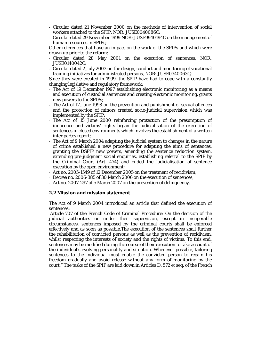- Circular dated 21 November 2000 on the methods of intervention of social workers attached to the SPIP, NOR: JUSE0040086C;
- Circular dated 29 November 1999 NOR: JUSE9940194C on the management of human resources in SPIPs;

Other references that have an impact on the work of the SPIPs and which were drawn up prior to the reform:

- Circular dated 28 May 2001 on the execution of sentences, NOR: JUSE0140042C;
- Circular dated 2 July 2003 on the design, conduct and monitoring of vocational training initiatives for administrated persons, NOR: JUSE0340063C;

Since they were created in 1999, the SPIP have had to cope with a constantly changing legislative and regulatory framework:

- The Act of 19 December 1997 establishing electronic monitoring as a means and execution of custodial sentences and creating electronic monitoring, grants new powers to the SPIPs;
- The Act of 17 June 1998 on the prevention and punishment of sexual offences and the protection of minors created socio-judicial supervision which was implemented by the SPIP;
- The Act of 15 June 2000 reinforcing protection of the presumption of innocence and victims' rights began the judicialisation of the execution of sentences in closed environments which involves the establishment of a written inter partes report;
- The Act of 9 March 2004 adapting the judicial system to changes in the nature of crime established a new procedure for adapting the aims of sentences, granting the DSPIP new powers, amending the sentence reduction system, extending pre-judgment social enquiries, establishing referral to the SPIP by the Criminal Court (Art. 474) and ended the judicialisation of sentence execution by the open environment;
- Act no. 2005-1549 of 12 December 2005 on the treatment of recidivism;
- Decree no. 2006-385 of 30 March 2006 on the execution of sentences;
- Act no. 2007-297 of 5 March 2007 on the prevention of delinquency.

#### **2.2 Mission and mission statement**

The Act of 9 March 2004 introduced an article that defined the execution of sentences:

 Article 707 of the French Code of Criminal Procedure:"On the decision of the judicial authorities or under their supervision, except in insuperable circumstances, sentences imposed by the criminal courts shall be enforced effectively and as soon as possible.The execution of the sentences shall further the rehabilitation of convicted persons as well as the prevention of recidivism, whilst respecting the interests of society and the rights of victims. To this end, sentences may be modified during the course of their execution to take account of the individual's evolving personality and situation. Whenever possible, tailoring sentences to the individual must enable the convicted person to regain his freedom gradually and avoid release without any form of monitoring by the court." The tasks of the SPIP are laid down in Articles D. 572 et seq. of the French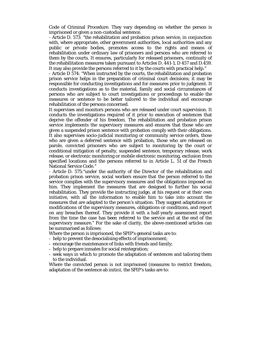Code of Criminal Procedure. They vary depending on whether the person is imprisoned or given a non-custodial sentence.

- Article D. 573: "the rehabilitation and probation prison service, in conjunction with, where appropriate, other government authorities, local authorities and any public or private bodies, promotes access to the rights and means of rehabilitation under ordinary law of prisoners and persons who are referred to them by the courts. It ensures, particularly for released prisoners, continuity of the rehabilitation measures taken pursuant to Articles D. 441-1, D 457 and D.459. It may also provide the persons referred to it by the courts with practical help."

- Article D 574: "When instructed by the courts, the rehabilitation and probation prison service helps in the preparation of criminal court decisions; it may be responsible for conducting investigations and for measures prior to judgment. It conducts investigations as to the material, family and social circumstances of persons who are subject to court investigations or proceedings to enable the measures or sentence to be better tailored to the individual and encourage rehabilitation of the persons concerned.

It supervises and monitors persons who are released under court supervision. It conducts the investigations required of it prior to execution of sentences that deprive the offender of his freedom. The rehabilitation and probation prison service implements the supervisory measures and ensures that those who are given a suspended prison sentence with probation comply with their obligations. It also supervises socio-judicial monitoring or community service orders, those who are given a deferred sentence with probation, those who are released on parole, convicted prisoners who are subject to monitoring by the court or conditional mitigation of penalty, suspended sentence, temporary release, work release, or electronic monitoring or mobile electronic monitoring, exclusion from specified locations and the persons referred to in Article L. 51 of the French National Service Code."

- Article D. 575:"under the authority of the Director of the rehabilitation and probation prison service, social workers ensure that the person referred to the service complies with the supervisory measures and the obligations imposed on him. They implement the measures that are designed to further his social rehabilitation. They provide the instructing judge, at his request or at their own initiative, with all the information to enable him to take into account the measures that are adapted to the person's situation. They suggest adaptations or modifications of the supervisory measures, obligations or conditions, and report on any breaches thereof. They provide it with a half-yearly assessment report from the time the case has been referred to the service and at the end of the supervisory measure." For the sake of clarity, the above-mentioned articles can be summarised as follows:

Where the person is imprisoned, the SPIP's general tasks are to:

- help to prevent the desocialising effects of imprisonment;
- encourage the maintenance of links with friends and family;
- help to prepare inmates for social reintegration;
- seek ways in which to promote the adaptation of sentences and tailoring them to the individual.

Where the convicted person is not imprisoned (measures to restrict freedom, adaptation of the sentence ab initio), the SPIP's tasks are to: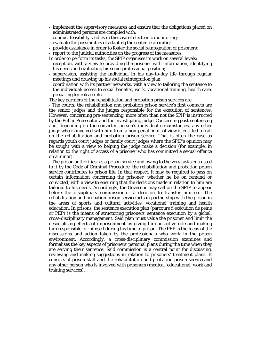- implement the supervisory measures and ensure that the obligations placed on administrated persons are complied with;
- conduct feasibility studies in the case of electronic monitoring;
- evaluate the possibilities of adapting the sentence ab initio;
- provide assistance in order to foster the social reintegration of prisoners;
- report to the judicial authorities on the progress of the measures.
- In order to perform its tasks, the SPIP organises its work on several levels:
- reception, with a view to providing the prisoner with information, identifying his needs and evaluating his socio-professional position;
- supervision, assisting the individual in his day-to-day life through regular meetings and drawing up his social reintegration plan;
- coordination with its partner networks, with a view to tailoring the sentence to the individual: access to social benefits, work, vocational training, health care, preparing for release etc.
- The key partners of the rehabilitation and probation prison services are:

- The courts: the rehabilitation and probation prison service's first contacts are the senior judges and the judges responsible for the execution of sentences. However, concerning pre-sentencing, more often than not the SPIP is instructed by the Public Prosecutor and the investigating judge. Concerning post-sentencing and, depending on the convicted person's individual circumstances, any other judge who is involved with him from a non-penal point of view is entitled to call on the rehabilitation and probation prison service. That is often the case as regards youth court judges or family court judges where the SPIP's opinion may be sought with a view to helping the judge make a decision (for example, in relation to the right of access of a prisoner who has committed a sexual offence on a minor).

- The prison authorities: as a prison service and owing to the very tasks entrusted to it by the Code of Criminal Procedure, the rehabilitation and probation prison service contributes to prison life. In that respect, it may be required to pass on certain information concerning the prisoner, whether he be on remand or convicted, with a view to ensuring that the decisions made in relation to him are tailored to his needs. Accordingly, the Governor may call on the SPIP to appear before the disciplinary commissionfor a decision to transfer him etc. The rehabilitation and probation prison service acts in partnership with the prison in the areas of sports and cultural activities, vocational training and health education. In prisons, the sentence execution plan (parcours d'exécution de peine or PEP) is the means of structuring prisoners' sentence execution by a global, cross-disciplinary management. Said plan must value the prisoner and limit the desocialising effects of imprisonment by giving him an active role and making him responsible for himself during his time in prison. The PEP is the focus of the discussions and action taken by the professionals who work in the prison environment. Accordingly, a cross-disciplinary commission examines and formalises the key aspects of prisoners' personal plans during the time when they are serving their sentence. Said commission is a central point for discussing, reviewing and making suggestions in relation to prisoners' treatment plans. It consists of prison staff and the rehabilitation and probation prison service and any other person who is involved with prisoners (medical, educational, work and training services).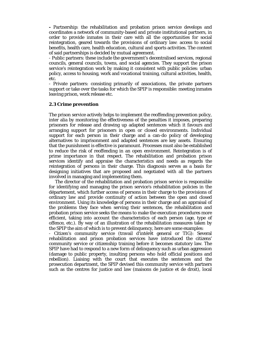**-** Partnership: the rehabilitation and probation prison service develops and coordinates a network of community-based and private institutional partners, in order to provide inmates in their care with all the opportunities for social reintegration, geared towards the provisions of ordinary law: access to social benefits, health care, health education, cultural and sports activities. The content of said partnerships is decided by mutual agreement.

- Public partners: these include the government's decentralised services, regional councils, general councils, towns, and social agencies. They support the prison service's reintegration work by making it consistent with public policies: urban policy, access to housing, work and vocational training, cultural activities, health, etc.

- Private partners: consisting primarily of associations, the private partners support or take over the tasks for which the SPIP is responsible: meeting inmates leaving prison, work release etc.

#### **2.3 Crime prevention**

The prison service actively helps to implement the reoffending prevention policy, inter alia by monitoring the effectiveness of the penalties it imposes, preparing prisoners for release and drawing up adapted sentences which it favours and arranging support for prisoners in open or closed environments. Individual support for each person in their charge and a can-do policy of developing alternatives to imprisonment and adapted sentences are key assets. Ensuring that the punishment is effective is paramount. Processes must also be established to reduce the risk of reoffending in an open environment. Reintegration is of prime importance in that respect. The rehabilitation and probation prison services identify and appraise the characteristics and needs as regards the reintegration of persons in their charge. This diagnosis serves as a basis for designing initiatives that are proposed and negotiated with all the partners involved in managing and implementing them.

 The director of the rehabilitation and probation prison service is responsible for identifying and managing the prison service's rehabilitation policies in the département, which further access of persons in their charge to the provisions of ordinary law and provide continuity of action between the open and closed environment. Using its knowledge of persons in their charge and an appraisal of the problems they face when serving their sentences, the rehabilitation and probation prison service seeks the means to make the execution procedures more efficient, taking into account the characteristics of each person (age, type of offence, etc.). By way of an illustration of the rehabilitation measures taken by the SPIP the aim of which is to prevent delinquency, here are some examples:

- Citizen's community service (travail d'intérêt general or TIG): Several rehabilitation and prison probation services have introduced the citizens' community service or citizenship training before it becomes statutory law. The SPIP have had to respond to a new form of delinquency such as urban aggression (damage to public property, insulting persons who hold official positions and rebellion). Liaising with the court that executes the sentences and the prosecution department, the SPIP devised this community service with partners such as the centres for justice and law (maisons de justice et de droit), local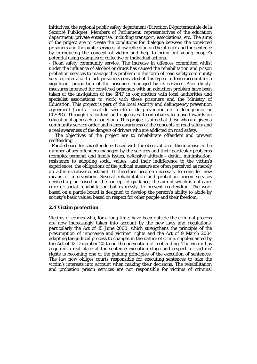initiatives, the regional public safety department (Direction Départementale de la Sécurité Publique), Members of Parliament, representatives of the education department, private enterprise, including transport, associations, etc. The aims of the project are to create the conditions for dialogue between the convicted prisoners and the public services, allow reflection on the offence and the sentence by introducing the concept of victim and help to bring out young people's potential using examples of collective or individual actions.

- Road safety community service: The increase in offences committed whilst under the influence of alcohol or drugs has caused the rehabilitation and prison probation services to manage this problem in the form of road safety community service, inter alia. In fact, prisoners convicted of this type of offence account for a significant proportion of the prisoners managed by its services. Accordingly, measures intended for convicted prisoners with an addiction problem have been taken at the instigation of the SPIP in conjunction with local authorities and specialist associations to work with these prisoners and the Ministry of Education. This project is part of the local security and delinquency prevention agreement (contrat local de sécurité et de prévention de la délinquance or CLSPD). Through its content and objectives it contributes to move towards an educational approach to sanctions. This project is aimed at those who are given a community service order and raises awareness of the concepts of road safety and a real awareness of the dangers of drivers who are addicted on road safety.

 The objectives of the project are to rehabilitate offenders and prevent reoffending.

- Parole board for sex offenders: Faced with the observation of the increase in the number of sex offenders managed by the services and their particular problems (complex personal and family issues, defensive attitude - denial, minimisation, resistance to adopting social values, and their indifference to the victim's experience), the obligations of the judicial measure are often perceived as merely an administrative constraint. It therefore became necessary to consider new means of intervention. Several rehabilitation and probation prison services devised a plan based on the concept of guidance, the aim of which is not care, cure or social rehabilitation but expressly, to prevent reoffending. The work based on a parole board is designed to develop the person's ability to abide by society's basic values, based on respect for other people and their freedom.

#### **2.4 Victim protection**

Victims of crimes who, for a long time, have been outside the criminal process are now increasingly taken into account by the new laws and regulations, particularly the Act of 15 June 2000, which strengthens the principle of the presumption of innocence and victims' rights and the Act of 9 March 2004 adapting the judicial process to changes in the nature of crime, supplemented by the Act of 12 December 2005 on the prevention of reoffending. The victim has acquired a real place at the sentence execution stage and respect for victims' rights is becoming one of the guiding principles of the execution of sentences. The law now obliges courts responsible for executing sentences to take the victim's interests into account when making their decisions. The rehabilitation and probation prison services are not responsible for victims of criminal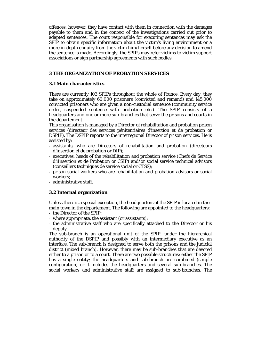offences; however, they have contact with them in connection with the damages payable to them and in the context of the investigations carried out prior to adapted sentences. The court responsible for executing sentences may ask the SPIP to obtain specific information about the victim's living environment or a more in-depth enquiry from the victim him/herself before any decision to amend the sentence is made. Accordingly, the SPIPs may refer victims to victim support associations or sign partnership agreements with such bodies.

# **3 THE ORGANIZATION OF PROBATION SERVICES**

# **3.1 Main characteristics**

There are currently 103 SPIPs throughout the whole of France. Every day, they take on approximately 60,000 prisoners (convicted and remand) and 145,000 convicted prisoners who are given a non-custodial sentence (community service order, suspended sentence with probation etc.). The SPIP consists of a headquarters and one or more sub-branches that serve the prisons and courts in the département.

This organisation is managed by a Director of rehabilitation and probation prison services (directeur des services pénitentiaires d'insertion et de probation or DSPIP). The DSPIP reports to the interregional Director of prison services. He is assisted by:

- assistants, who are Directors of rehabilitation and probation (directeurs d'insertion et de probation or DIP);
- executives, heads of the rehabilitation and probation service (Chefs de Service d'iInsertion et de Probation or CSIP) and/or social service technical advisors (conseillers techniques de service social or CTSS);
- prison social workers who are rehabilitation and probation advisors or social workers;
- administrative staff.

# **3.2 Internal organization**

Unless there is a special exception, the headquarters of the SPIP is located in the main town in the département. The following are appointed to the headquarters:

- the Director of the SPIP;
- where appropriate, the assistant (or assistants);
- the administrative staff who are specifically attached to the Director or his deputy.

The sub-branch is an operational unit of the SPIP, under the hierarchical authority of the DSPIP and possibly with an intermediary executive as an interface. The sub-branch is designed to serve both the prisons and the judicial district (mixed branch). However, there may be sub-branches that are devoted either to a prison or to a court. There are two possible structures: either the SPIP has a single entity; the headquarters and sub-branch are combined (simple configuration) or it includes the headquarters and several sub-branches. The social workers and administrative staff are assigned to sub-branches. The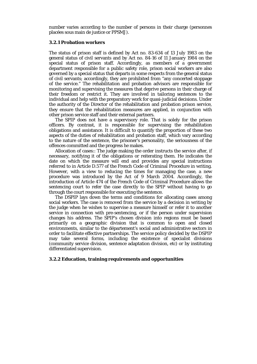number varies according to the number of persons in their charge (personnes placées sous main de justice or PPSMJ).

#### **3.2.1 Probation workers**

The status of prison staff is defined by Act no. 83-634 of 13 July 1983 on the general status of civil servants and by Act no. 84-16 of 11 January 1984 on the special status of prison staff. Accordingly, as members of a government department responsible for a public safety role, prison social workers are also governed by a special status that departs in some respects from the general status of civil servants; accordingly, they are prohibited from "any concerted stoppage of the service." The rehabilitation and probation advisors are responsible for monitoring and supervising the measures that deprive persons in their charge of their freedom or restrict it. They are involved in tailoring sentences to the individual and help with the preparatory work for quasi-judicial decisions. Under the authority of the Director of the rehabilitation and probation prison service, they ensure that the rehabilitation measures are applied, in conjunction with other prison service staff and their external partners.

 The SPIP does not have a supervisory role. That is solely for the prison officers. By contrast, it is responsible for supervising the rehabilitation obligations and assistance. It is difficult to quantify the proportion of these two aspects of the duties of rehabilitation and probation staff, which vary according to the nature of the sentence, the prisoner's personality, the seriousness of the offences committed and the progress he makes.

 Allocation of cases:: The judge making the order instructs the service after, if necessary, notifying it of the obligations or reiterating them. He indicates the date on which the measure will end and provides any special instructions referred to in Article D.577 of the French Code of Criminal Procedure in writing. However, with a view to reducing the times for managing the case, a new procedure was introduced by the Act of 9 March 2004. Accordingly, the introduction of Article 474 of the French Code of Criminal Procedure allows the sentencing court to refer the case directly to the SPIP without having to go through the court responsible for executing the sentence.

 The DSPIP lays down the terms and conditions for allocating cases among social workers. The case is removed from the service by a decision in writing by the judge when he wishes to supervise a measure himself or refer it to another service in connection with pre-sentencing, or if the person under supervision changes his address. The SPIP's chosen division into regions must be based primarily on a geographic division that is common to open and closed environments, similar to the département's social and administrative sectors in order to facilitate effective partnerships. The service policy decided by the DSPIP may take several forms, including the existence of specialist divisions (community service division, sentence adaptation division, etc) or by instituting differentiated supervision.

### **3.2.2 Education, training requirements and opportunities**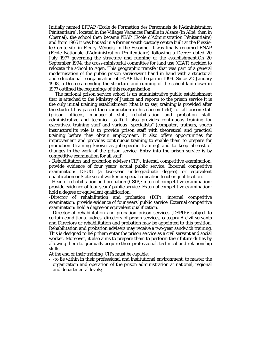Initially named EFPAP (Ecole de Formation des Personnels de l'Administration Pénitentiaire), located in the Villages Vacances Famille in Alsace (in Albé, then in Obernai), the school then became l'EAP (Ecole d'Administration Pénitentiaire) and from 1965 it was housed in a former youth custody centre built at the Plessisle-Comte site in Fleury-Mérogis, in the Essonne. It was finally renamed ENAP (Ecole Nationale d'Administration Pénitentiaire) following a Decree dated 20 July 1977 governing the structure and running of the establishment.On 20 September 1994, the cross-ministerial committee for land use (CIAT) decided to relocate the school to Agen. This geographic transfer that was part of a general modernisation of the public prison servicewent hand in hand with a structural and educational reorganisation of ENAP that began in 1999. Since 22 January 1998, a Decree amending the structure and running of the school laid down in 1977 outlined the beginnings of this reorganisation.

 The national prison service school is an administrative public establishment that is attached to the Ministry of Justice and reports to the prison service.It is the only initial training establishment (that is to say, training is provided after the student has passed the examination in his chosen field) for all prison staff (prison officers, managerial staff, rehabilitation and probation staff, administrative and technical staff).It also provides continuous training for executives, training staff and various "specialists" (computer, trainers, sports instructors)Its role is to provide prison staff with theoretical and practical training before they obtain employment. It also offers opportunities for improvement and provides continuous training to enable them to prepare for promotion (training known as job-specific training) and to keep abreast of changes in the work of the prison service. Entry into the prison service is by competitive examination for all staff:

- Rehabilitation and probation adviser (CIP): internal competitive examination: provide evidence of four years' actual public service. External competitive examination: DEUG (a two-year undergraduate degree) or equivalent qualification or State social worker or special education teacher qualification.

- Head of rehabilitation and probation (CSIP): internal competitive examination: provide evidence of four years' public service. External competitive examination: hold a degree or equivalent qualification.

-Director of rehabilitation and probation (DIP): internal competitive examination: provide evidence of four years' public service. External competitive examination: hold a degree or equivalent qualification.

- Director of rehabilitation and probation prison services (DSPIP): subject to certain conditions, judges, directors of prison services, category A civil servants and Directors or rehabilitation and probation may be appointed to this position. Rehabilitation and probation advisers may receive a two-year sandwich training. This is designed to help them enter the prison service as a civil servant and social worker. Moreover, it also aims to prepare them to perform their future duties by allowing them to gradually acquire their professional, technical and relationship skills.

At the end of their training, CIPs must be capable:

- -to lie within in their professional and institutional environment, to master the organization and operation of the prison administration at national, regional and departmental levels;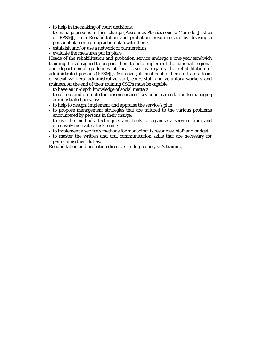- to help in the making of court decisions;
- to manage persons in their charge (Pesronnes Placées sous la Main de Justice or PPSMJ) in a Rehabilitation and probation prison service by devising a personal plan or a group action plan with them;
- establish and/or use a network of partnerships;
- evaluate the measures put in place.

Heads of the rehabilitation and probation service undergo a one-year sandwich training. It is designed to prepare them to help implement the national, regional and departmental guidelines at local level as regards the rehabilitation of administrated persons (PPSMJ). Moreover, it must enable them to train a team of social workers, administrative staff, court staff and voluntary workers and trainees. At the end of their training CSIPs must be capable:

- to have an in-depth knowledge of social matters;
- to roll out and promote the prison services' key policies in relation to managing administrated persons;
- to help to design, implement and appraise the service's plan;
- to propose management strategies that are tailored to the various problems encountered by persons in their charge;
- to use the methods, techniques and tools to organise a service, train and effectively motivate a task team ;
- to implement a service's methods for managing its resources, staff and budget;
- to master the written and oral communication skills that are necessary for performing their duties;

Rehabilitation and probation directors undergo one year's training.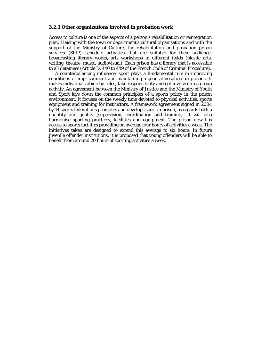#### **3.2.3 Other organizations involved in probation work**

Access to culture is one of the aspects of a person's rehabilitation or reintegration plan. Liaising with the town or department's cultural organisations and with the support of the Ministry of Culture, the rehabilitation and probation prison services (SPIP) schedule activities that are suitable for their audience: broadcasting literary works, arts workshops in different fields (plastic arts, writing, theatre, music, audiovisual). Each prison has a library that is accessible to all detainees (Article D. 440 to 449 of the French Code of Criminal Procedure).

 A counterbalancing influence, sport plays a fundamental role in improving conditions of imprisonment and maintaining a good atmosphere in prisons. It makes individuals abide by rules, take responsibility and get involved in a group activity. An agreement between the Ministry of Justice and the Ministry of Youth and Sport lays down the common principles of a sports policy in the prison environment. It focuses on the weekly time devoted to physical activities, sports equipment and training for instructors. A framework agreement signed in 2004 by 14 sports federations promotes and develops sport in prison, as regards both a quantity and quality (supervision, coordination and training). It will also harmonise sporting practices, facilities and equipment. The prison now has access to sports facilities providing on average four hours of activities a week. The initiatives taken are designed to extend this average to six hours. In future juvenile offender institutions, it is proposed that young offenders will be able to benefit from around 20 hours of sporting activities a week.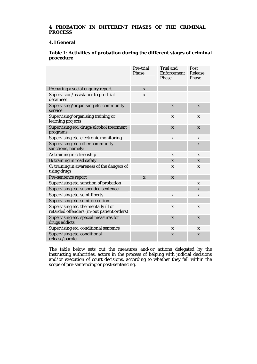# **4 PROBATION IN DIFFERENT PHASES OF THE CRIMINAL PROCESS**

#### **4.1 General**

# **Table 1: Activities of probation during the different stages of criminal procedure**

|                                                                                    | Pre-trial<br>Phase | <b>Trial and</b><br>Enforcement<br><b>Phase</b> | Post<br>Release<br>Phase |
|------------------------------------------------------------------------------------|--------------------|-------------------------------------------------|--------------------------|
| Preparing a social enquiry report                                                  | $\mathbf{x}$       |                                                 |                          |
| Supervision/assistance to pre-trial<br>detainees                                   | X                  |                                                 |                          |
| Supervising/organising etc. community<br>service                                   |                    | $\mathbf{x}$                                    | X                        |
| Supervising/organising training or<br>learning projects                            |                    | $\mathbf x$                                     | $\mathbf x$              |
| Supervising etc. drugs/alcohol treatment<br>programs                               |                    | $\mathbf{x}$                                    | X                        |
| Supervising etc. electronic monitoring                                             |                    | $\mathbf x$                                     | $\mathbf x$              |
| Supervising etc. other community<br>sanctions, namely:                             |                    |                                                 | X                        |
| A: training in citizenship                                                         |                    | $\mathbf x$                                     | $\mathbf x$              |
| B: training in road safety                                                         |                    | X                                               | X                        |
| C: training in awareness of the dangers of<br>using drugs                          |                    | X                                               | X                        |
| Pre-sentence report                                                                | $\mathbf{x}$       | $\mathbf{x}$                                    |                          |
| Supervising etc. sanction of probation                                             |                    |                                                 | X                        |
| Supervising etc. suspended sentence                                                |                    |                                                 | X                        |
| Supervising etc. semi-liberty                                                      |                    | $\mathbf x$                                     | X                        |
| Supervising etc. semi-detention                                                    |                    |                                                 |                          |
| Supervising etc. the mentally ill or<br>retarded offenders (in-out patient orders) |                    | X                                               | X                        |
| Supervising etc. special measures for<br>drugs addicts                             |                    | $\mathbf{x}$                                    | X                        |
| Supervising etc. conditional sentence                                              |                    | $\mathbf{x}$                                    | X                        |
| Supervising etc. conditional<br>release/parole                                     |                    | X                                               | X                        |

The table below sets out the measures and/or actions delegated by the instructing authorities, actors in the process of helping with judicial decisions and/or execution of court decisions, according to whether they fall within the scope of pre-sentencing or post-sentencing.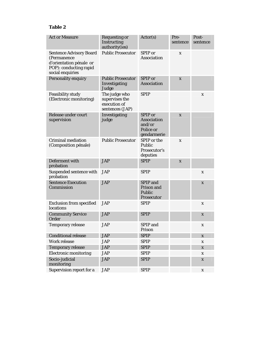# **Table 2**

| <b>Act or Measure</b>                                                                                                  | <b>Requesting or</b><br>Instructing<br>authority(ies)              | Actor(s)                                                            | Pre-<br>sentence | Post-<br>sentence         |
|------------------------------------------------------------------------------------------------------------------------|--------------------------------------------------------------------|---------------------------------------------------------------------|------------------|---------------------------|
| <b>Sentence Advisory Board</b><br>(Permanence<br>d'orientation pénale or<br>POP): conducting rapid<br>social enquiries | <b>Public Prosecutor</b>                                           | SPIP or<br><b>Association</b>                                       | X                |                           |
| <b>Personality enquiry</b>                                                                                             | <b>Public Prosecutor</b><br>Investigating<br>Judge                 | SPIP or<br><b>Association</b>                                       | X                |                           |
| <b>Feasibility study</b><br>(Electronic monitoring)                                                                    | The judge who<br>supervises the<br>execution of<br>sentences (JAP) | <b>SPIP</b>                                                         |                  | X                         |
| Release under court<br>supervision                                                                                     | Investigating<br>judge                                             | SPIP or<br><b>Association</b><br>and/or<br>Police or<br>gendarmerie | X                |                           |
| <b>Criminal mediation</b><br>(Composition pénale)                                                                      | <b>Public Prosecutor</b>                                           | SPIP or the<br>Public<br>Prosecutor's<br>deputies                   | X                |                           |
| Deferment with<br>probation                                                                                            | <b>JAP</b>                                                         | <b>SPIP</b>                                                         | X                |                           |
| Suspended sentence with<br>probation                                                                                   | <b>JAP</b>                                                         | <b>SPIP</b>                                                         |                  | X                         |
| <b>Sentence Execution</b><br>Commission                                                                                | <b>JAP</b>                                                         | <b>SPIP</b> and<br>Prison and<br>Public<br>Prosecutor               |                  | X                         |
| <b>Exclusion from specified</b><br>locations                                                                           | <b>JAP</b>                                                         | <b>SPIP</b>                                                         |                  | X                         |
| <b>Community Service</b><br>Order                                                                                      | <b>JAP</b>                                                         | <b>SPIP</b>                                                         |                  | X                         |
| <b>Temporary release</b>                                                                                               | <b>JAP</b>                                                         | SPIP and<br>Prison                                                  |                  | X                         |
| <b>Conditional release</b>                                                                                             | <b>JAP</b>                                                         | <b>SPIP</b>                                                         |                  | $\mathbf{X}$              |
| <b>Work release</b>                                                                                                    | <b>JAP</b>                                                         | <b>SPIP</b>                                                         |                  | $\boldsymbol{\mathrm{X}}$ |
| <b>Temporary release</b>                                                                                               | <b>JAP</b>                                                         | <b>SPIP</b>                                                         |                  | $\boldsymbol{\mathrm{X}}$ |
| <b>Electronic monitoring</b>                                                                                           | <b>JAP</b>                                                         | <b>SPIP</b>                                                         |                  | $\boldsymbol{\mathrm{X}}$ |
| Socio-judicial<br>monitoring                                                                                           | <b>JAP</b>                                                         | <b>SPIP</b>                                                         |                  | $\boldsymbol{\mathrm{X}}$ |
| Supervision report for a                                                                                               | <b>JAP</b>                                                         | <b>SPIP</b>                                                         |                  | $\mathbf X$               |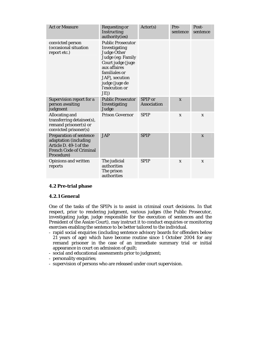| <b>Act or Measure</b>                                                                                                             | <b>Requesting or</b><br>Instructing<br>authority(ies)                                                                                                                                                       | Action(s)                            | Pre-<br>sentence | Post-<br>sentence |
|-----------------------------------------------------------------------------------------------------------------------------------|-------------------------------------------------------------------------------------------------------------------------------------------------------------------------------------------------------------|--------------------------------------|------------------|-------------------|
| convicted person<br>(occasional situation<br>report etc.)                                                                         | <b>Public Prosecutor</b><br>Investigating<br><b>Judge Other</b><br>Judge (eg: Family<br>Court judge [juge<br>aux affaires<br>familiales or<br>JAF], xecution<br>judge [juge de<br>l'exécution or<br>$JE$ ]) |                                      |                  |                   |
| Supervision report for a<br>person awaiting<br>judgment                                                                           | <b>Public Prosecutor</b><br>Investigating<br>Judge                                                                                                                                                          | <b>SPIP</b> or<br><b>Association</b> | $\mathbf{x}$     |                   |
| Allocating and<br>transferring detainee(s),<br>remand prisoner(s) or<br>convicted prisoner(s)                                     | <b>Prison Governor</b>                                                                                                                                                                                      | <b>SPIP</b>                          | X                | X                 |
| <b>Preparation of sentence</b><br>adaptation (including<br>Article D. 49-1 of the<br><b>French Code of Criminal</b><br>Procedure) | <b>JAP</b>                                                                                                                                                                                                  | <b>SPIP</b>                          |                  | X                 |
| <b>Opinions and written</b><br>reports                                                                                            | The judicial<br>authorities<br>The prison<br>authorities                                                                                                                                                    | <b>SPIP</b>                          | X                | $\mathbf{x}$      |

# **4.2 Pre-trial phase**

# **4.2.1 General**

One of the tasks of the SPIPs is to assist in criminal court decisions. In that respect, prior to rendering judgment, various judges (the Public Prosecutor, investigating judge, judge responsible for the execution of sentences and the President of the Assize Court), may instruct it to conduct enquiries or monitoring exercises enabling the sentence to be better tailored to the individual.

- rapid social enquiries (including sentence advisory boards for offenders below 21 years of age) which have become routine since 1 October 2004 for any remand prisoner in the case of an immediate summary trial or initial appearance in court on admission of guilt;
- social and educational assessments prior to judgment;
- personality enquiries;
- supervision of persons who are released under court supervision.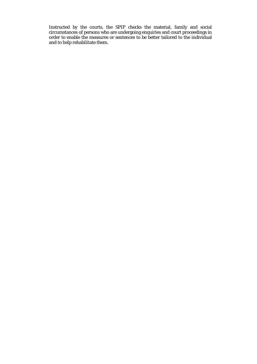Instructed by the courts, the SPIP checks the material, family and social circumstances of persons who are undergoing enquiries and court proceedings in order to enable the measures or sentences to be better tailored to the individual and to help rehabilitate them.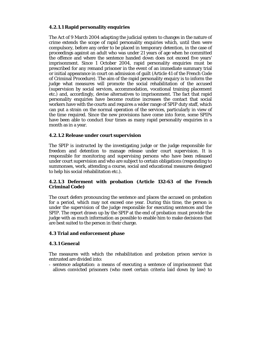# **4.2.1.1 Rapid personality enquiries**

The Act of 9 March 2004 adapting the judicial system to changes in the nature of crime extends the scope of rapid personality enquiries which, until then were compulsory, before any order to be placed in temporary detention, in the case of proceedings against an adult who was under 21 years of age when he committed the offence and where the sentence handed down does not exceed five years' imprisonment. Since 1 October 2004, rapid personality enquiries must be prescribed for any remand prisoner in the event of an immediate summary trial or initial appearance in court on admission of guilt (Article 41 of the French Code of Criminal Procedure). The aim of the rapid personality enquiry is to inform the judge what measures will promote the social rehabilitation of the accused (supervision by social services, accommodation, vocational training placement etc.) and, accordingly, devise alternatives to imprisonment. The fact that rapid personality enquiries have become routine increases the contact that social workers have with the courts and requires a wider range of SPIP duty staff, which can put a strain on the normal operation of the services, particularly in view of the time required. Since the new provisions have come into force, some SPIPs have been able to conduct four times as many rapid personality enquiries in a month as in a year.

# **4.2.1.2 Release under court supervision**

The SPIP is instructed by the investigating judge or the judge responsible for freedom and detention to manage release under court supervision. It is responsible for monitoring and supervising persons who have been released under court supervision and who are subject to certain obligations (responding to summonses, work, attending a course, social and educational measures designed to help his social rehabilitation etc.).

# **4.2.1.3 Deferment with probation (Article 132-63 of the French Criminal Code)**

The court defers pronouncing the sentence and places the accused on probation for a period, which may not exceed one year. During this time, the person is under the supervision of the judge responsible for executing sentences and the SPIP. The report drawn up by the SPIP at the end of probation must provide the judge with as much information as possible to enable him to make decisions that are best suited to the person in their charge.

# **4.3 Trial and enforcement phase**

# **4.3.1 General**

The measures with which the rehabilitation and probation prison service is entrusted are divided into:

- sentence adaptation: a means of executing a sentence of imprisonment that allows convicted prisoners (who meet certain criteria laid down by law) to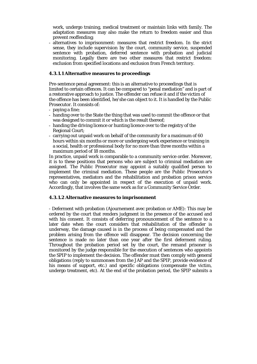work, undergo training, medical treatment or maintain links with family. The adaptation measures may also make the return to freedom easier and thus prevent reoffending;

- alternatives to imprisonment: measures that restrict freedom. In the strict sense, they include supervision by the court, community service, suspended sentence with probation, deferred sentence with probation and judicial monitoring. Legally there are two other measures that restrict freedom: exclusion from specified locations and exclusion from French territory.

# **4.3.1.1 Alternative measures to proceedings**

Pre-sentence penal agreement: this is an alternative to proceedings that is limited to certain offences. It can be compared to "penal mediation" and is part of a restorative approach to justice. The offender can refuse it and if the victim of the offence has been identified, he/she can object to it. It is handled by the Public Prosecutor. It consists of:

- paying a fine;
- handing over to the State the thing that was used to commit the offence or that was designed to commit it or which is the result thereof;
- handing the driving licence or hunting licence over to the registry of the Regional Court;
- carrying out unpaid work on behalf of the community for a maximum of 60 hours within six months or more or undergoing work experience or training in a social, health or professional body for no more than three months within a maximum period of 18 months.

In practice, unpaid work is comparable to a community service order. Moreover, it is to these positions that persons who are subject to criminal mediation are assigned. The Public Prosecutor may appoint a suitably qualified person to implement the criminal mediation. These people are the Public Prosecutor's representatives, mediators and the rehabilitation and probation prison service who can only be appointed in respect of the execution of unpaid work. Accordingly, that involves the same work as for a Community Service Order.

#### **4.3.1.2 Alternative measures to imprisonment**

- Deferment with probation (Ajournement avec probation or AME): This may be ordered by the court that renders judgment in the presence of the accused and with his consent. It consists of deferring pronouncement of the sentence to a later date when the court considers that rehabilitation of the offender is underway, the damage caused is in the process of being compensated and the problem arising from the offence will disappear. The decision concerning the sentence is made no later than one year after the first deferment ruling. Throughout the probation period set by the court, the remand prisoner is monitored by the judge responsible for the execution of sentences who appoints the SPIP to implement the decision. The offender must then comply with general obligations (reply to summonses from the JAP and the SPIP, provide evidence of his means of support, etc.) and specific obligations (compensate the victim, undergo treatment, etc). At the end of the probation period, the SPIP submits a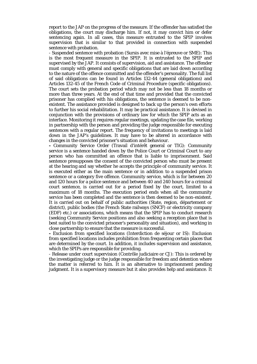report to the JAP on the progress of the measure. If the offender has satisfied the obligations, the court may discharge him. If not, it may convict him or defer sentencing again. In all cases, this measure entrusted to the SPIP involves supervision that is similar to that provided in connection with suspended sentence with probation.

- Suspended sentence with probation (Sursis avec mise à l'épreuve or SME): This is the most frequent measure in the SPIP. It is entrusted to the SPIP and supervised by the JAP. It consists of supervision, aid and assistance. The offender must comply with general and specific obligations that are laid down according to the nature of the offence committed and the offender's personality. The full list of said obligations can be found in Articles 132-44 (general obligations) and Articles 132-45 of the French Code of Criminal Procedure (specific obligations). The court sets the probation period which may not be less than 18 months or more than three years. At the end of that time and provided that the convicted prisoner has complied with his obligations, the sentence is deemed to be nonexistent. The assistance provided is designed to back up the person's own efforts to further his social rehabilitation. It may be practical assistance. It is devised in conjunction with the provisions of ordinary law for which the SPIP acts as an interface. Monitoring it requires regular meetings, updating the case file, working in partnership with the person and providing the judge responsible for executing sentences with a regular report. The frequency of invitations to meetings is laid down in the JAP's guidelines. It may have to be altered in accordance with changes in the convicted prisoner's situation and behaviour.

**-** Community Service Order (Travail d'intérêt general or TIG): Community service is a sentence handed down by the Police Court or Criminal Court to any person who has committed an offence that is liable to imprisonment. Said sentence presupposes the consent of the convicted person who must be present at the hearing and say whether he accepts the principle of community service. It is executed either as the main sentence or in addition to a suspended prison sentence or a category five offence. Community service, which is for between 20 and 120 hours for a police sentence and between 40 and 240 hours for a criminal court sentence, is carried out for a period fixed by the court, limited to a maximum of 18 months. The execution period ends when all the community service has been completed and the sentence is then deemed to be non-existent. It is carried out on behalf of public authorities (State, region, département or district), public bodies (the French State railways (SNCF) or electricity company (EDF) etc.) or associations, which means that the SPIP has to conduct research (seeking Community Service positions and also seeking a reception place that is best suited to the convicted prisoner's personality and situation), and working in close partnership to ensure that the measure is successful.

**-** Exclusion from specified locations (Interdiction de séjour or IS): Exclusion from specified locations includes prohibition from frequenting certain places that are determined by the court. In addition, it includes supervision and assistance, which the SPIPs are responsible for providing.

- Release under court supervision (Contrôle judiciaire or CJ): This is ordered by the investigating judge or the judge responsible for freedom and detention where the matter is referred to him. It is an alternative to imprisonment pending judgment. It is a supervisory measure but it also provides help and assistance. It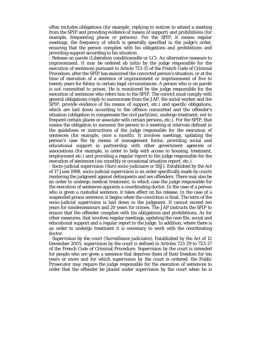often includes obligations (for example, replying to notices to attend a meeting from the SPIP and providing evidence of means of support) and prohibitions (for example, frequenting places or persons). For the SPIP, it means regular meetings, the frequency of which is generally specified in the judge's order, ensuring that the person complies with his obligations and prohibitions and providing support according to his situation.

- Release on parole (Libération conditionnelle or LC): An alternative measure to imprisonment. It may be ordered ab initio by the judge responsible for the execution of sentences pursuant to Article 723-15 of the French Code of Criminal Procedure, after the SPIP has examined the convicted person's situation, or at the time of execution of a sentence of imprisonment or imprisonment of five to twenty years for felony in certain legal circumstances. A person who is on parole is not committed to prison. He is monitored by the judge responsible for the execution of sentences who refers him to the SPIP. The convict must comply with general obligations (reply to summonses from the JAP, the social worker and the SPIP, provide evidence of his means of support, etc.) and specific obligations, which are laid down according to the offence committed and the offender's situation (obligation to compensate the civil party(ies), undergo treatment, not to frequent certain places or associate with certain persons, etc.). For the SPIP, that means the obligation to summon the person to a meeting at intervals defined in the guidelines or instructions of the judge responsible for the execution of sentences (for example, once a month). It involves meetings, updating the person's case file by means of management forms, providing social and educational support in partnership with other government agencies or associations (for example, in order to help with access to housing, treatment, employment etc.) and providing a regular report to the judge responsible for the execution of sentences (six-monthly or occasional situation report, etc.).

- Socio-judicial supervision (Suivi socio-judiciaire or SSJ): Established by the Act of 17 June 1998, socio-judicial supervision is an order specifically made by courts rendering the judgment against delinquents and sex offenders. There may also be an order to undergo medical treatment, in which case the judge responsible for the execution of sentences appoints a coordinating doctor. In the case of a person who is given a custodial sentence, it takes effect on his release. In the case of a suspended prison sentence, it begins when the conviction is final. The term of the socio-judicial supervision is laid down in the judgment. It cannot exceed ten years for misdemeanours and 20 years for crimes. The JAP instructs the SPIP to ensure that the offender complies with his obligations and prohibitions. As for other measures, that involves regular meetings, updating the case file, social and educational support and a regular report to the judge. In addition, where there is an order to undergo treatment it is necessary to work with the coordinating doctor.

- Supervision by the court (Surveillance judiciaire): Established by the Act of 12 December 2005, supervision by the court is defined in Articles 723-29 to 723-37 of the French Code of Criminal Procedure. Supervision by the court is intended for people who are given a sentence that deprives them of their freedom for ten years or more and for which supervision by the court is ordered: the Public Prosecutor may require the judge responsible for the execution of sentences to order that the offender be placed under supervision by the court when he is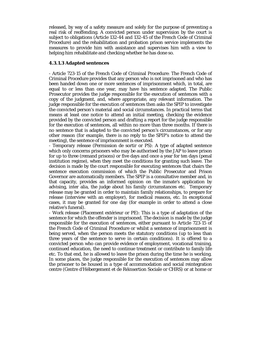released, by way of a safety measure and solely for the purpose of preventing a real risk of reoffending. A convicted person under supervision by the court is subject to obligations (Article 132-44 and 132-45 of the French Code of Criminal Procedure) and the rehabilitation and probation prison service implements the measures to provide him with assistance and supervises him with a view to helping him rehabilitate and checking whether he has done so.

#### **4.3.1.3 Adapted sentences**

- Article 723-15 of the French Code of Criminal Procedure: The French Code of Criminal Procedure provides that any person who is not imprisoned and who has been handed down one or more sentences of imprisonment which, in total, are equal to or less than one year, may have his sentence adapted. The Public Prosecutor provides the judge responsible for the execution of sentences with a copy of the judgment, and, where appropriate, any relevant information. The judge responsible for the execution of sentences then asks the SPIP to investigate the convicted person's material and social circumstances. In practical terms that means at least one notice to attend an initial meeting, checking the evidence provided by the convicted person and drafting a report for the judge responsible for the execution of sentences, all within no more than three months. If there is no sentence that is adapted to the convicted person's circumstances, or for any other reason (for example, there is no reply to the SPIP's notice to attend the meeting), the sentence of imprisonment is executed.

- Temporary release (Permission de sortir or PS): A type of adapted sentence which only concerns prisoners who may be authorised by the JAP to leave prison for up to three (remand prisons) or five days and once a year for ten days (penal institution regime), when they meet the conditions for granting such leave. The decision is made by the court responsible for executing sentences that chairs the sentence execution commission of which the Public Prosecutor and Prison Governor are automatically members. The SPIP is a consultative member and, in that capacity, provides an informed opinion on the inmate's application by advising, inter alia, the judge about his family circumstances etc. Temporary release may be granted in order to maintain family relationships, to prepare for release (interview with an employer), for medical reasons, etc. In exceptional cases, it may be granted for one day (for example in order to attend a close relative's funeral).

- Work release (Placement extérieur or PE): This is a type of adaptation of the sentence for which the offender is imprisoned. The decision is made by the judge responsible for the execution of sentences, either pursuant to Article 723-15 of the French Code of Criminal Procedure or whilst a sentence of imprisonment is being served, when the person meets the statutory conditions (up to less than three years of the sentence to serve in certain conditions). It is offered to a convicted person who can provide evidence of employment, vocational training, continued education, the need to continue treatment or contribute to family life etc. To that end, he is allowed to leave the prison during the time he is working. In some places, the judge responsible for the execution of sentences may allow the prisoner to be housed in a type of accommodation and social reintegration centre (Centre d'Hébergement et de Réinsertion Sociale or CHRS) or at home or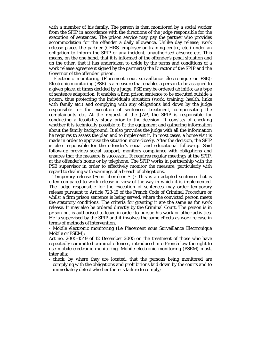with a member of his family. The person is then monitored by a social worker from the SPIP in accordance with the directions of the judge responsible for the execution of sentences. The prison service may pay the partner who provides accommodation for the offender a daily allowance. Unlike day release, work release places the partner (CHRS, employer or training centre, etc.) under an obligation to inform the SPIP of any incident, unauthorised absence etc. This means, on the one hand, that it is informed of the offender's penal situation and on the other, that it has undertaken to abide by the terms and conditions of a work release agreement signed by the partner(s) the Director of the SPIP and the Governor of the offender' prison.

- Electronic monitoring (Placement sous surveillance électronique or PSE): Electronic monitoring (PSE) is a measure that enables a person to be assigned to a given place, at times decided by a judge. PSE may be ordered ab initio; as a type of sentence adaptation, it enables a firm prison sentence to be executed outside a prison, thus protecting the individual's situation (work, training, health, links with family etc.) and complying with any obligations laid down by the judge responsible for the execution of sentences: treatment, compensating the complainants etc. At the request of the JAP, the SPIP is responsible for conducting a feasibility study prior to the decision. It consists of checking whether it is technically possible to fit the equipment and gathering information about the family background. It also provides the judge with all the information he requires to assess the plan and to implement it. In most cases, a home visit is made in order to appraise the situation more closely. After the decision, the SPIP is also responsible for the offender's social and educational follow-up. Said follow-up provides social support, monitors compliance with obligations and ensures that the measure is successful. It requires regular meetings at the SPIP, at the offender's home or by telephone. The SPIP works in partnership with the PSE supervisor in order to effectively monitor the measure, particularly with regard to dealing with warnings of a breach of obligations.

- Temporary release (Semi-liberté or SL): This is an adapted sentence that is often compared to work release in view of the way in which it is implemented. The judge responsible for the execution of sentences may order temporary release pursuant to Article 723-15 of the French Code of Criminal Procedure or whilst a firm prison sentence is being served, where the convicted person meets the statutory conditions. The criteria for granting it are the same as for work release. It may also be ordered directly by the Criminal Court. The person is in prison but is authorised to leave in order to pursue his work or other activities. He is supervised by the SPIP and it involves the same effects as work release in terms of methods of intervention.

- Mobile electronic monitoring (Le Placement sous Surveillance Electronique Mobile or PSEM):

Act no. 2005-1549 of 12 December 2005 on the treatment of those who have repeatedly committed criminal offences, introduced into French law the right to use mobile electronic monitoring. Mobile electronic monitoring (PSEM) must, inter alia:

- check, by where they are located, that the persons being monitored are complying with the obligations and prohibitions laid down by the courts and to immediately detect whether there is failure to comply;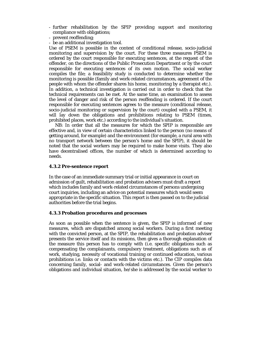- further rehabilitation by the SPIP providing support and monitoring compliance with obligations;
- prevent reoffending;
- be an additional investigation tool.

Use of PSEM is possible in the context of conditional release, socio-judicial monitoring and supervision by the court. For these three measures PSEM is ordered by the court responsible for executing sentences, at the request of the offender, on the directions of the Public Prosecution Department or by the court responsible for executing sentences of its own motion. The social worker compiles the file; a feasibility study is conducted to determine whether the monitoring is possible (family and work-related circumstances, agreement of the people with whom the offender shares his home, monitoring by a therapist etc.). In addition, a technical investigation is carried out in order to check that the technical requirements can be met. At the same time, an examination to assess the level of danger and risk of the person reoffending is ordered. If the court responsible for executing sentences agrees to the measure (conditional release, socio-judicial monitoring or supervision by the court) coupled with a PSEM, it will lay down the obligations and prohibitions relating to PSEM (times, prohibited places, work etc.) according to the individual's situation.

NB: In order that all the measures for which the SPIP is responsible are effective and, in view of certain characteristics linked to the person (no means of getting around, for example) and the environment (for example, a rural area with no transport network between the person's home and the SPIP), it should be noted that the social workers may be required to make home visits. They also have decentralised offices, the number of which is determined according to needs.

# **4.3.2 Pre-sentence report**

In the case of an immediate summary trial or initial appearance in court on admission of guilt, rehabilitation and probation advisers must draft a report which includes family and work-related circumstances of persons undergoing court inquiries, including an advice on potential measures which would seem appropriate in the specific situation. This report is then passed on to the judicial authorities before the trial begins.

# **4.3.3 Probation procedures and processes**

As soon as possible when the sentence is given, the SPIP is informed of new measures, which are dispatched among social workers. During a first meeting with the convicted person, at the SPIP, the rehabilitation and probation adviser presents the service itself and its missions, then gives a thorough explanation of the measure this person has to comply with (i.e. specific obligations such as compensating the complainants, compulsory treatment, obligations such as of work, studying, necessity of vocational training or continued education, various prohibitions i.e. links or contacts with the victims etc.). The CIP compiles data concerning family, social- and work-related circumstances. Given the person's obligations and individual situation, he/she is addressed by the social worker to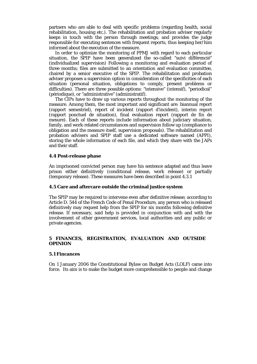partners who are able to deal with specific problems (regarding health, social rehabilitation, housing etc.). The rehabilitation and probation adviser regularly keeps in touch with the person through meetings; and provides the judge responsible for executing sentences with frequent reports, thus keeping her/him informed about the execution of the measure.

 In order to optimize the monitoring of PPMJ with regard to each particular situation, the SPIP have been generalized the so-called "suivi différencié" (individualized supervision) Following a monitoring and evaluation period of three months; files are submitted to an orientation and evaluation committee, chaired by a senior executive of the SPIP. The rehabilitation and probation adviser proposes a supervision option in consideration of the specificities of each situation (personal situation, obligations to comply, present problems or difficulties). There are three possible options: "intensive" (intensif), "periodical" (périodique), or "administrative" (administratif).

 The CIPs have to draw up various reports throughout the monitoring of the measure. Among them, the most important and significant are: biannual report (rapport semestriel), report of incident (rapport d'incident), interim report (rapport ponctuel de situation), final evaluation report (rapport de fin de mesure). Each of these reports include information about judiciary situation, family, and work-related circumstances and supervision follow up (compliance to obligation and the measure itself, supervision proposals). The rehabilitation and probation advisers and SPIP staff use a dedicated software named (APPI), storing the whole information of each file, and which they share with the JAPs and their staff.

#### **4.4 Post-release phase**

An imprisoned convicted person may have his sentence adapted and thus leave prison either definitively (conditional release, work release) or partially (temporary release). These measures have been described in point 4.3.1

### **4.5 Care and aftercare outside the criminal justice system**

The SPIP may be required to intervene even after definitive release; according to Article D. 544 of the French Code of Penal Procedure, any person who is released definitively may request help from the SPIP for six months following definitive release. If necessary, said help is provided in conjunction with and with the involvement of other government services, local authorities and any public or private agencies.

# **5 FINANCES, REGISTRATION, EVALUATION AND OUTSIDE OPINION**

#### **5.1 Fincances**

On 1 January 2006 the Constitutional Bylaw on Budget Acts (LOLF) came into force. Its aim is to make the budget more comprehensible to people and change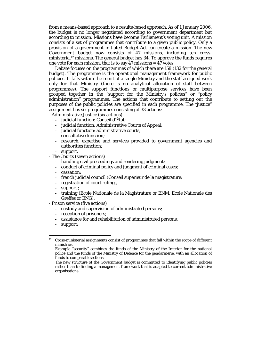from a means-based approach to a results-based approach. As of 1 January 2006, the budget is no longer negotiated according to government department but according to mission. Missions have become Parliament's voting unit. A mission consists of a set of programmes that contribute to a given public policy. Only a provision of a government initiated Budget Act can create a mission. The new Government budget now consists of 47 missions, including ten crossministerial<sup>12</sup> missions. The general budget has  $34$ . To approve the funds requires one vote for each mission, that is to say  $47$  missions =  $47$  votes

 Debate focuses on the programmes of which there are 158 (132 for the general budget). The programme is the operational management framework for public policies. It falls within the remit of a single Ministry and the staff assigned work only for that Ministry (there is no analytical allocation of staff between programmes). The support functions or multipurpose services have been grouped together in the "support for the Ministry's policies" or "policy administration" programmes. The actions that contribute to setting out the purposes of the public policies are specified in each programme. The "justice" assignment has six programmes consisting of 33 actions:

- Administrative Justice (six actions)

- judicial function: Conseil d'État;
- judicial function: Administrative Courts of Appeal;
- iudicial function: administrative courts:
- consultative function;
- research, expertise and services provided to government agencies and authorities function;
- support.
- The Courts (seven actions)
	- handling civil proceedings and rendering judgment;
	- conduct of criminal policy and judgment of criminal cases;
	- cassation;
	- french judicial council (Conseil supérieur de la magistrature;
	- registration of court rulings;
	- support ;
	- training (Ecole Nationale de la Magistrature or ENM, Ecole Nationale des Greffes or ENG).
- Prison service (five actions)
	- custody and supervision of administrated persons;
	- reception of prisoners;
	- assistance for and rehabilitation of administrated persons;
	- support;

1

 $12$  Cross-ministerial assignments consist of programmes that fall within the scope of different ministries.

Example "security" combines the funds of the Ministry of the Interior for the national police and the funds of the Ministry of Defence for the gendarmerie, with an allocation of funds to comparable actions.

The new structure of the Government budget is committed to identifying public policies rather than to finding a management framework that is adapted to current administrative organisations.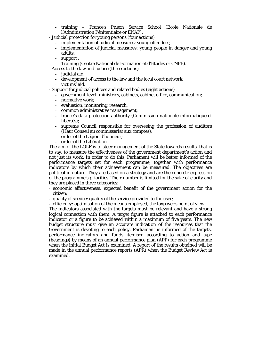- training France's Prison Service School (Ecole Nationale de l'Administration Pénitentiaire or ENAP).
- Judicial protection for young persons (four actions)
	- implementation of judicial measures: young offenders;
	- implementation of judicial measures: young people in danger and young adults;
	- support :
	- Training (Centre National de Formation et d'Etudes or CNFE).

- Access to the law and justice (three actions)

- judicial aid;
- development of access to the law and the local court network;
- victims' aid.
- Support for judicial policies and related bodies (eight actions)
	- government-level: ministries, cabinets, cabinet office, communication;
	- normative work;
	- evaluation, monitoring, research;
	- common administrative management;
	- france's data protection authority (Commission nationale informatique et libertés);
	- supreme Council responsible for overseeing the profession of auditors (Haut Conseil au commissariat aux comptes);
	- order of the Légion d'honneur;
	- order of the Libération.

The aim of the LOLF is to steer management of the State towards results, that is to say, to measure the effectiveness of the government department's action and not just its work. In order to do this, Parliament will be better informed of the performance targets set for each programme, together with performance indicators by which their achievement can be measured. The objectives are political in nature. They are based on a strategy and are the concrete expression of the programme's priorities. Their number is limited for the sake of clarity and they are placed in three categories:

- economic effectiveness: expected benefit of the government action for the citizen;
- quality of service: quality of the service provided to the user;
- efficiency: optimisation of the means employed, the taxpayer's point of view.

The indicators associated with the targets must be relevant and have a strong logical connection with them. A target figure is attached to each performance indicator or a figure to be achieved within a maximum of five years. The new budget structure must give an accurate indication of the resources that the Government is devoting to each policy. Parliament is informed of the targets, performance indicators and funds itemised according to action and type (headings) by means of an annual performance plan (APP) for each programme when the initial Budget Act is examined. A report of the results obtained will be made in the annual performance reports (APR) when the Budget Review Act is examined.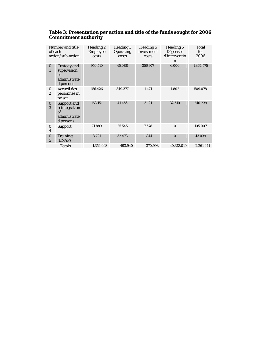| Number and title<br>of each<br>action/sub-action |                                                                        | Heading 2<br>Employee<br>costs | Heading 3<br><b>Operating</b><br>costs | Heading 5<br><b>Investment</b><br>costs | Heading 6<br><b>Dépenses</b><br>d'interventio<br>n | Total<br>for<br>2006 |
|--------------------------------------------------|------------------------------------------------------------------------|--------------------------------|----------------------------------------|-----------------------------------------|----------------------------------------------------|----------------------|
| $\bf{0}$<br>$\mathbf{1}$                         | Custody and<br>supervision<br>of<br>administrate<br>d persons          | 956,510                        | 45.088                                 | 356,977                                 | 6,000                                              | 1,364,575            |
| $\bf{0}$<br>$\overline{c}$                       | <b>Accueil des</b><br>personnes in<br>prison                           | 156.426                        | 349.377                                | 1.471                                   | 1.802                                              | 509.078              |
| $\bf{0}$<br>3                                    | <b>Support and</b><br>reintegration<br>of<br>administrate<br>d persons | 163.151                        | 41.456                                 | 3.121                                   | 32.510                                             | 240.239              |
| $\bf{0}$<br>$\overline{4}$                       | <b>Support</b>                                                         | 71.883                         | 25.545                                 | 7.578                                   | $\Omega$                                           | 105.007              |
| $\mathbf{0}$<br>$\overline{5}$                   | <b>Training</b><br>(ENAP)                                              | 8.721                          | 32.473                                 | 1.844                                   | $\Omega$                                           | 43.039               |
|                                                  | <b>Totals</b>                                                          | 1.356.693                      | 493.940                                | 370.993                                 | 40.313.019                                         | 2.261.941            |

# **Table 3: Presentation per action and title of the funds sought for 2006 Commitment authority**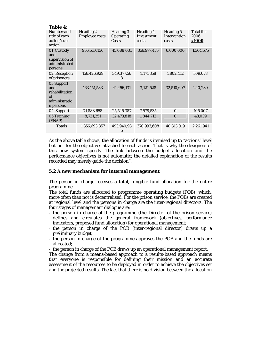| <b>Table 4:</b>                                                         |                                    |                                 |                                         |                                    |                                   |  |  |
|-------------------------------------------------------------------------|------------------------------------|---------------------------------|-----------------------------------------|------------------------------------|-----------------------------------|--|--|
| Number and<br>title of each<br>action/sub-<br>action                    | Heading 2<br><b>Employee costs</b> | Heading 3<br>Operating<br>Costs | <b>Heading 4</b><br>Investment<br>costs | Heading 5<br>Intervention<br>costs | <b>Total for</b><br>2006<br>x1000 |  |  |
| 01 Custody<br>and<br>supervision of<br>administrated<br>persons         | 956,510,436                        | 45,088,031                      | 356,977,475                             | 6,000,000                          | 1,364,575                         |  |  |
| 02 Reception<br>of prisoners                                            | 156,426,929                        | 349,377,56<br>8                 | 1,471,358                               | 1,802,412                          | 509,078                           |  |  |
| 03 Support<br>and<br>rehabilitation<br>of<br>administratio<br>n persons | 163, 151, 583                      | 41,456,131                      | 3,121,528                               | 32,510,607                         | 240,239                           |  |  |
| 04 Support                                                              | 71,883,658                         | 25,545,387                      | 7,578,535                               | $\Omega$                           | 105,007                           |  |  |
| 05 Training<br>(ENAP)                                                   | 8,721,251                          | 32,473,818                      | 1,844,712                               | $\mathbf{0}$                       | 43,039                            |  |  |
| <b>Totals</b>                                                           | 1,356,693,857                      | 493,940,93<br>5                 | 370,993,608                             | 40,313,019                         | 2,261,941                         |  |  |

As the above table shows, the allocation of funds is itemised up to "actions" level but not for the objectives attached to each action. That is why the designers of this new system specify "the link between the budget allocation and the performance objectives is not automatic; the detailed explanation of the results recorded may merely guide the decision".

#### **5.2 A new mechanism for internal management**

The person in charge receives a total, fungible fund allocation for the entire programme.

The total funds are allocated to programme operating budgets (POB), which, more often than not is decentralised. For the prison service, the POBs are created at regional level and the persons in charge are the inter-regional directors. The four stages of management dialogue are:

- the person in charge of the programme (the Director of the prison service) defines and circulates the general framework (objectives, performance indicators, proposed fund allocation) for operational management;
- the person in charge of the POB (inter-regional director) draws up a preliminary budget;
- the person in charge of the programme approves the POB and the funds are allocated;

- the person in charge of the POB draws up an operational management report.

The change from a means-based approach to a results-based approach means that everyone is responsible for defining their mission and an accurate assessment of the resources to be deployed in order to achieve the objectives set and the projected results. The fact that there is no division between the allocation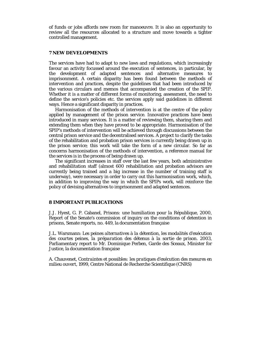of funds or jobs affords new room for manoeuvre. It is also an opportunity to review all the resources allocated to a structure and move towards a tighter controlled management.

#### **7 NEW DEVELOPMENTS**

The services have had to adapt to new laws and regulations, which increasingly favour an activity focussed around the execution of sentences, in particular, by the development of adapted sentences and alternative measures to imprisonment. A certain disparity has been found between the methods of intervention and practices, despite the guidelines that had been introduced by the various circulars and memos that accompanied the creation of the SPIP. Whether it is a matter of different forms of monitoring, assessment, the need to define the service's policies etc. the services apply said guidelines in different ways. Hence a significant disparity in practices.

 Harmonisation of the methods of intervention is at the centre of the policy applied by management of the prison service. Innovative practices have been introduced in many services. It is a matter of reviewing them, sharing them and extending them when they have proved to be appropriate. Harmonisation of the SPIP's methods of intervention will be achieved through discussions between the central prison service and the decentralised services. A project to clarify the tasks of the rehabilitation and probation prison services is currently being drawn up in the prison service; this work will take the form of a new circular. So far as concerns harmonisation of the methods of intervention, a reference manual for the services is in the process of being drawn up.

 The significant increases in staff over the last few years, both administrative and rehabilitation staff (almost 600 rehabilitation and probation advisors are currently being trained and a big increase in the number of training staff is underway), were necessary in order to carry out this harmonisation work, which, in addition to improving the way in which the SPIPs work, will reinforce the policy of devising alternatives to imprisonment and adapted sentences.

#### **8 IMPORTANT PUBLICATIONS**

J.J. Hyest, G. P. Cabanel, *Prisons: une humiliation pour la République*, 2000, Report of the Senate's commission of inquiry on the conditions of detention in prisons, Senate reports, no. 449, la documentation française

J.L. Warsmann: *Les peines alternatives à la détention, les modalités d'exécution des courtes peines, la préparation des détenus à la sortie de prison*. 2003, Parliamentary report to Mr. Dominique Perben, Garde des Sceaux, Minister for Justice, la documentation française

A. Chauvenet, *Contraintes et possibles: les pratiques d'exécution des mesures en milieu ouvert*, 1999, Centre National de Recherche Scientifique (CNRS)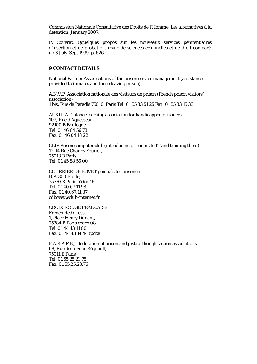Commission Nationale Consultative des Droits de l'Homme, *Les alternatives à la detention*, January 2007.

P. Couvrat, *Qquelques propos sur les nouveaux services pénitentiaires d'insertion et de probation*, revue de sciences criminelles et de droit comparé, no.3 July-Sept 1999, p. 626

### **9 CONTACT DETAILS**

National Partner Assosications of the prison service management (assistance provided to inmates and those leaving prison)

A.N.V.P Association nationale des visiteurs de prison (French prison visitors' association) 1 bis, Rue de Paradis 75010, Paris Tel: 01 55 33 51 25 Fax: 01 55 33 15 33

AUXILIA Distance learning association for handicapped prisoners 102, Rue d'Aguesseau, 92100 B Boulogne Tel: 01 46 04 56 78 Fax: 01 46 04 18 22

CLIP Prison computer club (introducing prisoners to IT and training them) 12-14 Rue Charles Fourier, 75013 B Paris Tel: 01 45 88 56 00

COURRIER DE BOVET pen pals for prisoners B.P. 300 Etoile, 75770 B Paris cédex 16 Tel: 01 40 67 11 98 Fax: 01.40.67.11.37 cdbovet@club-internet.fr

CROIX ROUGE FRANCAISE French Red Cross 1, Place Henry Dunant, 75384 B Paris cedex 08 Tel: 01 44 43 11 00 Fax: 01 44 43 14 44 (pdce

F.A.R.A.P.E.J. federation of prison and justice thought action associations 68, Rue de la Folie Régnault, 75011 B Paris Tel: 01 55 25 23 75 Fax: 01.55.25.23.76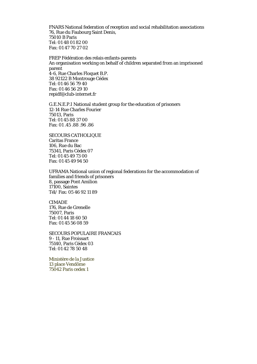FNARS National federation of reception and social rehabilitation associations 76, Rue du Faubourg Saint Denis, 75010 B Paris Tel: 01 48 01 82 00 Fax: 01 47 70 27 02

FREP Fédération des relais enfants-parents An organisation working on behalf of children separated from an imprisoned parent 4-6, Rue Charles Floquet B.P. 38 92122 B Montrouge Cédex Tel: 01 46 56 79 40 Fax: 01 46 56 29 10 repidf@club-internet.fr

G.E.N.E.P.I National student group for the education of prisoners 12-14 Rue Charles Fourier 75013, Paris Tel: 01 45 88 37 00 Fax: 01 .45 .88 .96 .86

SECOURS CATHOLIQUE Caritas France 106, Rue du Bac 75341, Paris Cédex 07 Tel: 01 45 49 73 00 Fax: 01 45 49 94 50

UFRAMA National union of regional federations for the accommodation of families and friends of prisoners 8, passage Pont Amilion 17100, Saintes Tél/ Fax: 05 46 92 11 89

CIMADE 176, Rue de Grenelle 75007, Paris Tel: 01 44 18 60 50 Fax: 01 45 56 08 59

SECOURS POPULAIRE FRANCAIS 9 - 11, Rue Froissart 75140, Paris Cédex 03 Tel: 01 42 78 50 48

Ministère de la Justice 13 place Vendôme 75042 Paris cedex 1